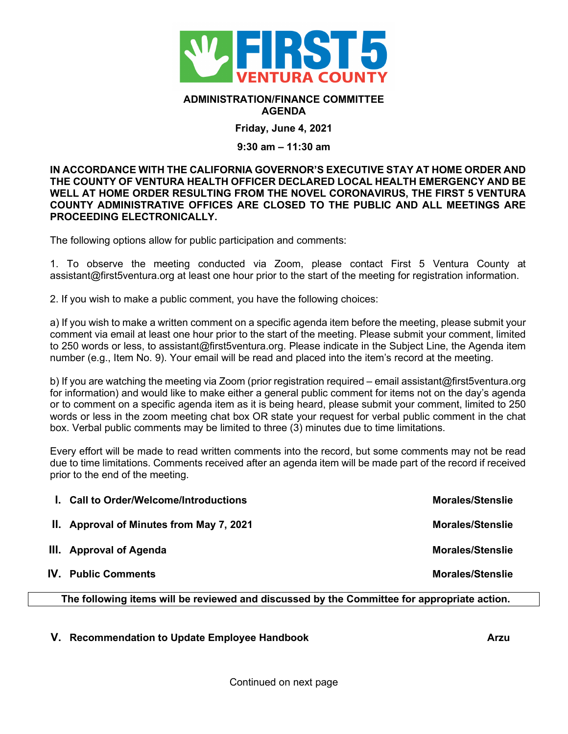

## **ADMINISTRATION/FINANCE COMMITTEE AGENDA**

**Friday, June 4, 2021**

## **9:30 am – 11:30 am**

**IN ACCORDANCE WITH THE CALIFORNIA GOVERNOR'S EXECUTIVE STAY AT HOME ORDER AND THE COUNTY OF VENTURA HEALTH OFFICER DECLARED LOCAL HEALTH EMERGENCY AND BE WELL AT HOME ORDER RESULTING FROM THE NOVEL CORONAVIRUS, THE FIRST 5 VENTURA COUNTY ADMINISTRATIVE OFFICES ARE CLOSED TO THE PUBLIC AND ALL MEETINGS ARE PROCEEDING ELECTRONICALLY.** 

The following options allow for public participation and comments:

1. To observe the meeting conducted via Zoom, please contact First 5 Ventura County at assistant@first5ventura.org at least one hour prior to the start of the meeting for registration information.

2. If you wish to make a public comment, you have the following choices:

a) If you wish to make a written comment on a specific agenda item before the meeting, please submit your comment via email at least one hour prior to the start of the meeting. Please submit your comment, limited to 250 words or less, to assistant@first5ventura.org. Please indicate in the Subject Line, the Agenda item number (e.g., Item No. 9). Your email will be read and placed into the item's record at the meeting.

b) If you are watching the meeting via Zoom (prior registration required – email assistant@first5ventura.org for information) and would like to make either a general public comment for items not on the day's agenda or to comment on a specific agenda item as it is being heard, please submit your comment, limited to 250 words or less in the zoom meeting chat box OR state your request for verbal public comment in the chat box. Verbal public comments may be limited to three (3) minutes due to time limitations.

Every effort will be made to read written comments into the record, but some comments may not be read due to time limitations. Comments received after an agenda item will be made part of the record if received prior to the end of the meeting.

| <b>Morales/Stenslie</b> |
|-------------------------|
| <b>Morales/Stenslie</b> |
| <b>Morales/Stenslie</b> |
|                         |

**The following items will be reviewed and discussed by the Committee for appropriate action.**

**V.** Recommendation to Update Employee Handbook **Arzu** Arzu